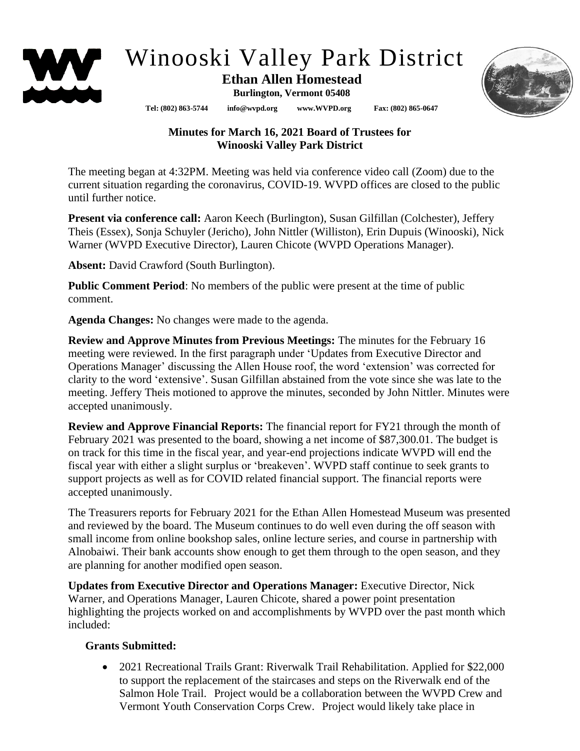

# Winooski Valley Park District

# **Ethan Allen Homestead**

**Burlington, Vermont 05408**

**Tel: (802) 863-5744 info@wvpd.org [www.WVPD.org](http://www.wvpd.org/) Fax: (802) 865-0647** 



# **Minutes for March 16, 2021 Board of Trustees for Winooski Valley Park District**

The meeting began at 4:32PM. Meeting was held via conference video call (Zoom) due to the current situation regarding the coronavirus, COVID-19. WVPD offices are closed to the public until further notice.

**Present via conference call:** Aaron Keech (Burlington), Susan Gilfillan (Colchester), Jeffery Theis (Essex), Sonja Schuyler (Jericho), John Nittler (Williston), Erin Dupuis (Winooski), Nick Warner (WVPD Executive Director), Lauren Chicote (WVPD Operations Manager).

**Absent:** David Crawford (South Burlington).

**Public Comment Period**: No members of the public were present at the time of public comment.

**Agenda Changes:** No changes were made to the agenda.

**Review and Approve Minutes from Previous Meetings:** The minutes for the February 16 meeting were reviewed. In the first paragraph under 'Updates from Executive Director and Operations Manager' discussing the Allen House roof, the word 'extension' was corrected for clarity to the word 'extensive'. Susan Gilfillan abstained from the vote since she was late to the meeting. Jeffery Theis motioned to approve the minutes, seconded by John Nittler. Minutes were accepted unanimously.

**Review and Approve Financial Reports:** The financial report for FY21 through the month of February 2021 was presented to the board, showing a net income of \$87,300.01. The budget is on track for this time in the fiscal year, and year-end projections indicate WVPD will end the fiscal year with either a slight surplus or 'breakeven'. WVPD staff continue to seek grants to support projects as well as for COVID related financial support. The financial reports were accepted unanimously.

The Treasurers reports for February 2021 for the Ethan Allen Homestead Museum was presented and reviewed by the board. The Museum continues to do well even during the off season with small income from online bookshop sales, online lecture series, and course in partnership with Alnobaiwi. Their bank accounts show enough to get them through to the open season, and they are planning for another modified open season.

**Updates from Executive Director and Operations Manager:** Executive Director, Nick Warner, and Operations Manager, Lauren Chicote, shared a power point presentation highlighting the projects worked on and accomplishments by WVPD over the past month which included:

### **Grants Submitted:**

• 2021 Recreational Trails Grant: Riverwalk Trail Rehabilitation. Applied for \$22,000 to support the replacement of the staircases and steps on the Riverwalk end of the Salmon Hole Trail. Project would be a collaboration between the WVPD Crew and Vermont Youth Conservation Corps Crew. Project would likely take place in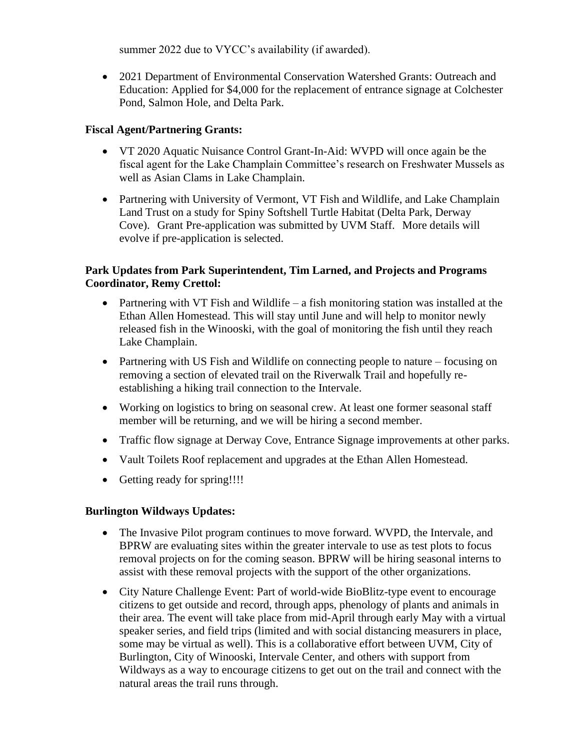summer 2022 due to VYCC's availability (if awarded).

• 2021 Department of Environmental Conservation Watershed Grants: Outreach and Education: Applied for \$4,000 for the replacement of entrance signage at Colchester Pond, Salmon Hole, and Delta Park.

#### **Fiscal Agent/Partnering Grants:**

- VT 2020 Aquatic Nuisance Control Grant-In-Aid: WVPD will once again be the fiscal agent for the Lake Champlain Committee's research on Freshwater Mussels as well as Asian Clams in Lake Champlain.
- Partnering with University of Vermont, VT Fish and Wildlife, and Lake Champlain Land Trust on a study for Spiny Softshell Turtle Habitat (Delta Park, Derway Cove). Grant Pre-application was submitted by UVM Staff. More details will evolve if pre-application is selected.

#### **Park Updates from Park Superintendent, Tim Larned, and Projects and Programs Coordinator, Remy Crettol:**

- Partnering with VT Fish and Wildlife a fish monitoring station was installed at the Ethan Allen Homestead. This will stay until June and will help to monitor newly released fish in the Winooski, with the goal of monitoring the fish until they reach Lake Champlain.
- Partnering with US Fish and Wildlife on connecting people to nature focusing on removing a section of elevated trail on the Riverwalk Trail and hopefully reestablishing a hiking trail connection to the Intervale.
- Working on logistics to bring on seasonal crew. At least one former seasonal staff member will be returning, and we will be hiring a second member.
- Traffic flow signage at Derway Cove, Entrance Signage improvements at other parks.
- Vault Toilets Roof replacement and upgrades at the Ethan Allen Homestead.
- Getting ready for spring!!!!

#### **Burlington Wildways Updates:**

- The Invasive Pilot program continues to move forward. WVPD, the Intervale, and BPRW are evaluating sites within the greater intervale to use as test plots to focus removal projects on for the coming season. BPRW will be hiring seasonal interns to assist with these removal projects with the support of the other organizations.
- City Nature Challenge Event: Part of world-wide BioBlitz-type event to encourage citizens to get outside and record, through apps, phenology of plants and animals in their area. The event will take place from mid-April through early May with a virtual speaker series, and field trips (limited and with social distancing measurers in place, some may be virtual as well). This is a collaborative effort between UVM, City of Burlington, City of Winooski, Intervale Center, and others with support from Wildways as a way to encourage citizens to get out on the trail and connect with the natural areas the trail runs through.